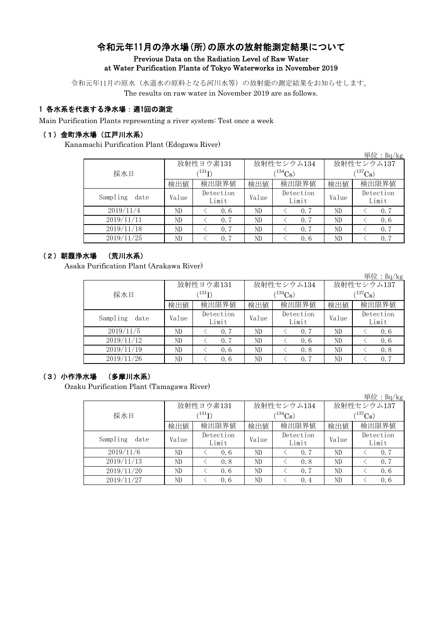# 令和元年11月の浄水場(所)の原水の放射能測定結果について Previous Data on the Radiation Level of Raw Water at Water Purification Plants of Tokyo Waterworks in November 2019

令和元年11月の原水(水道水の原料となる河川水等)の放射能の測定結果をお知らせします。 The results on raw water in November 2019 are as follows.

# 1 各水系を代表する浄水場:週1回の測定

Main Purification Plants representing a river system: Test once a week

### (1)金町浄水場(江戸川水系)

Kanamachi Purification Plant (Edogawa River)

|                  |                                                                                                                                                                                                                                                                                     |       |  |                       | 単位: $Bq/kg$ |  |
|------------------|-------------------------------------------------------------------------------------------------------------------------------------------------------------------------------------------------------------------------------------------------------------------------------------|-------|--|-----------------------|-------------|--|
|                  |                                                                                                                                                                                                                                                                                     |       |  | 放射性セシウム137            |             |  |
| 採水日              | $^{\prime131} \mathrm{I})$                                                                                                                                                                                                                                                          |       |  | $(^{137}\mathrm{Cs})$ |             |  |
|                  | 放射性ヨウ素131<br>放射性セシウム134<br>$(134)$ Cs<br>検出限界値<br>検出限界値<br>検出値<br>検出値<br>検出値<br>Detection<br>Detection<br>Value<br>Value<br>Value<br>Limit<br>Limit<br>ND<br>0.6<br>ND<br>ND<br>0.7<br>ND<br>ND<br>ND<br>0.7<br>0.7<br>ND<br>0.7<br>ND<br>0.7<br>ND<br>ND<br>ND<br>ND<br>0.7<br>0.6 | 検出限界値 |  |                       |             |  |
| Sampling<br>date |                                                                                                                                                                                                                                                                                     |       |  |                       | Detection   |  |
|                  |                                                                                                                                                                                                                                                                                     |       |  |                       | Limit       |  |
| 2019/11/4        |                                                                                                                                                                                                                                                                                     |       |  |                       | 0.7         |  |
| 2019/11/11       |                                                                                                                                                                                                                                                                                     |       |  |                       | 0.6         |  |
| 2019/11/18       |                                                                                                                                                                                                                                                                                     |       |  |                       | 0.7         |  |
| 2019/11/25       |                                                                                                                                                                                                                                                                                     |       |  |                       | 0.7         |  |

# (2)朝霞浄水場 (荒川水系)

Asaka Purification Plant (Arakawa River)

|                  |       |                                                                                                                                                                                                                                |             |              | 中位: $pq/kg$        |  |
|------------------|-------|--------------------------------------------------------------------------------------------------------------------------------------------------------------------------------------------------------------------------------|-------------|--------------|--------------------|--|
|                  |       |                                                                                                                                                                                                                                |             | 放射性セシウム137   |                    |  |
| 採水日              |       | $^{\prime131} \mathrm{I})$                                                                                                                                                                                                     | $(134)$ Cs) | $(^{137}Cs)$ |                    |  |
|                  | 検出値   | 放射性ヨウ素131<br>放射性セシウム134<br>検出限界値<br>検出限界値<br>検出値<br>検出値<br>Detection<br>Detection<br>Value<br>Value<br>Limit<br>Limit<br>ND<br>ND<br>0.7<br>0.7<br>ND<br>ND<br>0.7<br>0.6<br>ND<br>ND<br>0.6<br>0.8<br>ND<br>ND<br>0, 7<br>0.6 | 検出限界値       |              |                    |  |
| Sampling<br>date | Value |                                                                                                                                                                                                                                |             |              | Detection<br>Limit |  |
| 2019/11/5        | ND    |                                                                                                                                                                                                                                |             |              | 0, 6               |  |
| 2019/11/12       | ND    |                                                                                                                                                                                                                                |             |              | 0.6                |  |
| 2019/11/19       | ND    |                                                                                                                                                                                                                                |             |              | 0.8                |  |
| 2019/11/26       | ND    |                                                                                                                                                                                                                                |             |              | 0.7                |  |

 $H/L$ : D  $/1$ 

# (3)小作浄水場 (多摩川水系)

Ozaku Purification Plant (Tamagawa River)

|                  |                            |                    |                                                                                                                                                       |            |              | 単位: $Bq/kg$        |  |  |
|------------------|----------------------------|--------------------|-------------------------------------------------------------------------------------------------------------------------------------------------------|------------|--------------|--------------------|--|--|
|                  |                            | 放射性ヨウ素131          |                                                                                                                                                       |            |              | 放射性セシウム137         |  |  |
| 採水日              | $^{\prime131} \mathrm{I})$ |                    |                                                                                                                                                       | $(134)$ Cs | $(^{137}Cs)$ |                    |  |  |
|                  | 検出値                        | 検出限界値              | 放射性セシウム134<br>検出限界値<br>検出値<br>検出値<br>Detection<br>Value<br>Value<br>Limit<br>ND<br>ND<br>0.7<br>ND<br>ND<br>0.8<br>ND<br>ND<br>0.7<br>ND<br>ND<br>0.4 | 検出限界値      |              |                    |  |  |
| Sampling<br>date | Value                      | Detection<br>Limit |                                                                                                                                                       |            |              | Detection<br>Limit |  |  |
| 2019/11/6        | ND                         | 0.6                |                                                                                                                                                       |            |              | 0.7                |  |  |
| 2019/11/13       | ND                         | 0.8                |                                                                                                                                                       |            |              | 0.7                |  |  |
| 2019/11/20       | ND                         | 0.6                |                                                                                                                                                       |            |              | 0.6                |  |  |
| 2019/11/27       | ND                         | 0.6                |                                                                                                                                                       |            |              | 0.6                |  |  |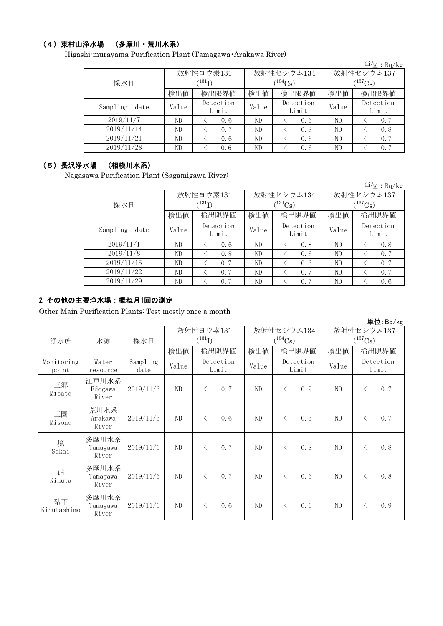### (4)東村山浄水場 (多摩川・荒川水系)

Higashi-murayama Purification Plant (Tamagawa・Arakawa River)

|                  |       |                    |       |                    |              | 単位: $Bq/kg$        |  |
|------------------|-------|--------------------|-------|--------------------|--------------|--------------------|--|
|                  |       | 放射性ヨウ素131          |       | 放射性セシウム134         | 放射性セシウム137   |                    |  |
| 採水日              |       | $^{\prime131}$ I)  |       | $(134)$ Cs         | $(^{137}Cs)$ |                    |  |
|                  | 検出値   | 検出限界値              | 検出値   | 検出限界値              | 検出値          | 検出限界値              |  |
| Sampling<br>date | Value | Detection<br>Limit | Value | Detection<br>Limit | Value        | Detection<br>Limit |  |
| 2019/11/7        | ND    | 0.6                | ND    | 0.6                | ND           | 0.7                |  |
| 2019/11/14       | ND    | 0.7                | ND    | 0.9                | ND           | 0.8                |  |
| 2019/11/21       | ND    | 0.6                | ND    | 0.6                | ND           | 0.7                |  |
| 2019/11/28       | ND    | 0.6                | ND    | 0.6                | ND           | 0.7                |  |

# (5)長沢浄水場 (相模川水系)

Nagasawa Purification Plant (Sagamigawa River)

|                  |       |                        |                             |              |       | 単位: $Bq/kg$        |  |  |
|------------------|-------|------------------------|-----------------------------|--------------|-------|--------------------|--|--|
|                  |       | 放射性ヨウ素131              |                             | 放射性セシウム134   |       | 放射性セシウム137         |  |  |
| 採水日              |       | $\rm \langle ^{131}I)$ |                             | $(^{134}Cs)$ |       | $(^{137}Cs)$       |  |  |
|                  | 検出値   | 検出限界値                  | 検出値                         | 検出限界値        | 検出値   | 検出限界値              |  |  |
| Sampling<br>date | Value | Detection<br>Limit     | Detection<br>Value<br>Limit |              | Value | Detection<br>Limit |  |  |
| 2019/11/1        | ND.   | 0.6                    | ND                          | 0.8          | ND    | 0.8                |  |  |
| 2019/11/8        | ND    | 0.8                    | ND                          | 0.6          | ND    | 0.7                |  |  |
| 2019/11/15       | ND    | 0.7                    | ND                          | 0.6          | ND    | 0.7                |  |  |
| 2019/11/22       | ND.   | 0.7                    | ND                          | 0.7          | ND    | 0.7                |  |  |
| 2019/11/29       | ND    | 0.7                    | ND                          | 0.7          | ND    | 0.6                |  |  |

# 2 その他の主要浄水場:概ね月1回の測定

Other Main Purification Plants: Test mostly once a month

|                     |                            |                  |       |                    |            |                       |                    |            |                       | 単位:Bq/kg           |
|---------------------|----------------------------|------------------|-------|--------------------|------------|-----------------------|--------------------|------------|-----------------------|--------------------|
|                     |                            |                  |       | 放射性ヨウ素131          | 放射性セシウム134 |                       |                    | 放射性セシウム137 |                       |                    |
| 浄水所                 | 水源                         | 採水日              |       | $(^{131}I)$        |            | $(^{134}\mathrm{Cs})$ |                    |            | $(^{137}\mathrm{Cs})$ |                    |
|                     |                            |                  | 検出値   | 検出限界値              | 検出値        |                       | 検出限界値              | 検出値        |                       | 検出限界値              |
| Monitoring<br>point | Water<br>resource          | Sampling<br>date | Value | Detection<br>Limit | Value      |                       | Detection<br>Limit | Value      |                       | Detection<br>Limit |
| 三郷<br>Misato        | 江戸川水系 <br>Edogawa<br>River | 2019/11/6        | ND    | 0.7<br>$\lt$       | ND         | $\langle$             | 0.9                | ND         | $\lt$                 | 0.7                |
| 三園<br>Misono        | 荒川水系<br>Arakawa<br>River   | 2019/11/6        | ND    | 0.6<br>$\langle$   | ND         | $\lt$                 | 0.6                | ND         | $\langle$             | 0.7                |
| 境<br>Sakai          | 多摩川水系<br>Tamagawa<br>River | 2019/11/6        | ND    | 0.7<br>$\langle$   | ND         | $\langle$             | 0.8                | ND         | $\langle$             | 0.8                |
| 砧<br>Kinuta         | 多摩川水系<br>Tamagawa<br>River | 2019/11/6        | ND    | 0.7<br>$\lt$       | ND         | $\lt$                 | 0.6                | ND         | $\lt$                 | 0.8                |
| 砧下<br>Kinutashimo   | 多摩川水系<br>Tamagawa<br>River | 2019/11/6        | ND    | 0.6<br>ぐ           | ND         | ⟨                     | 0.6                | ND         | $\langle$             | 0.9                |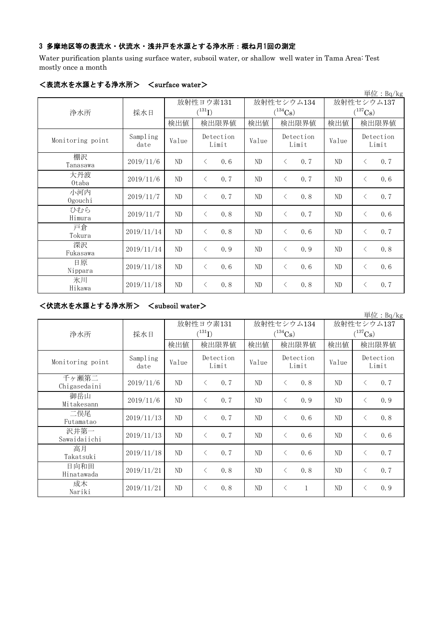# 3 多摩地区等の表流水・伏流水・浅井戸を水源とする浄水所:概ね月1回の測定

Water purification plants using surface water, subsoil water, or shallow well water in Tama Area: Test mostly once a month

|                  | יווידוש          |                          |                    |       |                                     |                            | 単位: $Bq/kg$        |
|------------------|------------------|--------------------------|--------------------|-------|-------------------------------------|----------------------------|--------------------|
| 浄水所              | 採水日              | 放射性ヨウ素131<br>$(^{131}I)$ |                    |       | 放射性セシウム134<br>$(^{134}\mathrm{Cs})$ | 放射性セシウム137<br>$(^{137}Cs)$ |                    |
|                  |                  | 検出値                      | 検出限界値              | 検出値   | 検出限界値                               | 検出値                        | 検出限界値              |
| Monitoring point | Sampling<br>date | Value                    | Detection<br>Limit | Value | Detection<br>Limit                  | Value                      | Detection<br>Limit |
| 棚沢<br>Tanasawa   | 2019/11/6        | ND                       | 0.6<br>$\lt$       | ND    | 0.7<br>$\langle$                    | ND                         | 0.7<br>$\langle$   |
| 大丹波<br>0taba     | 2019/11/6        | ND                       | 0.7<br>$\langle$   | ND    | 0.7<br>$\lt$                        | ND                         | 0.6<br>$\lt$       |
| 小河内<br>Ogouchi   | 2019/11/7        | ND                       | 0.7<br>$\langle$   | ND    | 0.8<br>$\langle$                    | ND                         | 0.7<br>$\langle$   |
| ひむら<br>Himura    | 2019/11/7        | ND                       | 0.8<br>$\langle$   | ND    | 0.7<br>$\langle$                    | ND                         | 0.6<br>$\langle$   |
| 戸倉<br>Tokura     | 2019/11/14       | ND                       | 0.8<br>$\lt$       | ND    | 0.6<br>$\lt$                        | ND                         | 0.7<br>$\langle$   |
| 深沢<br>Fukasawa   | 2019/11/14       | ND                       | 0.9<br>$\lt$       | ND    | 0.9<br>$\langle$                    | ND                         | 0.8<br>$\langle$   |
| 日原<br>Nippara    | 2019/11/18       | ND                       | 0.6<br>$\lt$       | ND    | 0.6<br>$\langle$                    | ND                         | 0.6<br>$\langle$   |
| 氷川<br>Hikawa     | 2019/11/18       | $\rm ND$                 | 0.8<br>$\lt$       | ND    | 0.8<br>$\lt$                        | ND                         | 0.7<br>$\lt$       |

#### <表流水を水源とする浄水所> <surface water>

# <伏流水を水源とする浄水所> <subsoil water>

|                       |                  |       |                                     |       |                            |                                     | 単位: Bq/kg          |
|-----------------------|------------------|-------|-------------------------------------|-------|----------------------------|-------------------------------------|--------------------|
|                       |                  |       | 放射性ヨウ素131<br>$({}^{131}\mathrm{I})$ |       | 放射性セシウム134<br>$(^{134}Cs)$ | 放射性セシウム137<br>$(^{137}\mathrm{Cs})$ |                    |
| 浄水所                   | 採水日              | 検出値   | 検出限界値                               | 検出値   | 検出限界値                      | 検出値                                 | 検出限界値              |
| Monitoring point      | Sampling<br>date | Value | Detection<br>Limit                  | Value | Detection<br>Limit         | Value                               | Detection<br>Limit |
| 千ヶ瀬第二<br>Chigasedaini | 2019/11/6        | ND    | 0.7<br>$\langle$                    | ND    | 0.8<br>$\langle$           | ND                                  | 0.7<br>$\lt$       |
| 御岳山<br>Mitakesann     | 2019/11/6        | ND    | 0.7<br>$\langle$                    | ND    | 0.9<br>$\langle$           | ND                                  | 0.9<br>$\langle$   |
| 二俣尾<br>Futamatao      | 2019/11/13       | ND    | 0.7<br>$\langle$                    | ND    | 0, 6<br>$\langle$          | ND                                  | 0.8<br>$\langle$   |
| 沢井第一<br>Sawaidaiichi  | 2019/11/13       | ND    | 0.7<br>$\langle$                    | ND    | 0, 6<br>$\langle$          | ND                                  | 0.6<br>$\lt$       |
| 高月<br>Takatsuki       | 2019/11/18       | ND    | 0.7<br>$\langle$                    | ND    | $\langle$<br>0.6           | ND                                  | 0.7<br>$\langle$   |
| 日向和田<br>Hinatawada    | 2019/11/21       | ND.   | 0.8<br>$\langle$                    | ND    | 0, 8<br>$\langle$          | ND                                  | 0.7<br>$\langle$   |
| 成木<br>Nariki          | 2019/11/21       | ND    | 0.8<br>$\langle$                    | ND    | $\langle$<br>$\mathbf{1}$  | ND                                  | 0.9<br>く           |